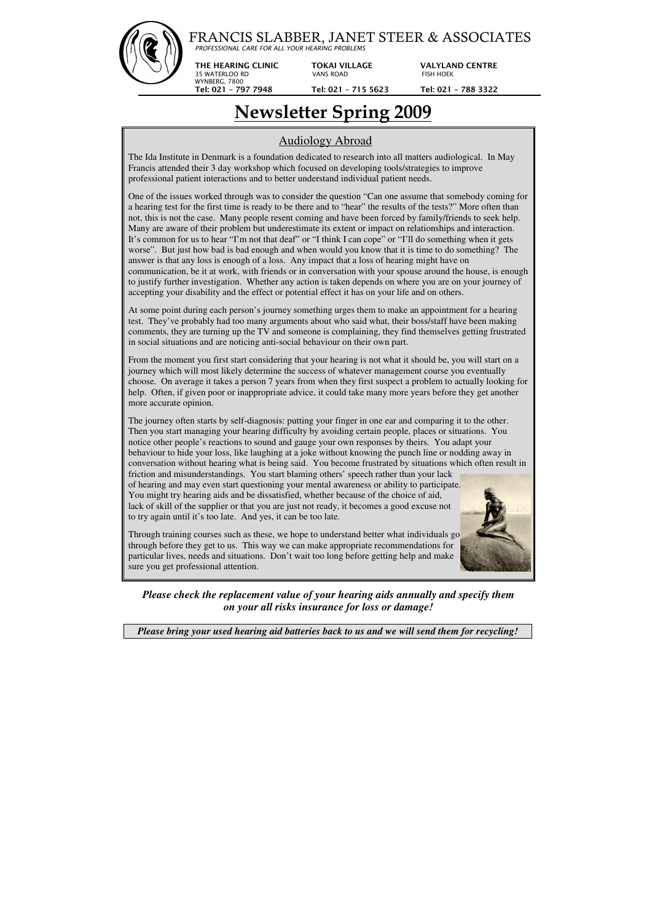## FRANCIS SLABBER, JANET STEER & ASSOCIATES

*PROFESSIONAL CARE FOR ALL YOUR HEARING PROBLEMS*

 $\overline{a}$ 

**THE HEARING CLINIC TOKAI VILLAGE VALYLAND CENTRE** 

35 WATERLOO RD VANS ROAD FISH HOEK

WYNBERG, 7800

 **Tel: 021 – 797 7948 Tel: 021 – 715 5623 Tel: 021 – 788 3322**

# **Newsletter Spring 2009**

### Audiology Abroad

The Ida Institute in Denmark is a foundation dedicated to research into all matters audiological. In May Francis attended their 3 day workshop which focused on developing tools/strategies to improve professional patient interactions and to better understand individual patient needs.

One of the issues worked through was to consider the question "Can one assume that somebody coming for a hearing test for the first time is ready to be there and to "hear" the results of the tests?" More often than not, this is not the case. Many people resent coming and have been forced by family/friends to seek help. Many are aware of their problem but underestimate its extent or impact on relationships and interaction. It's common for us to hear "I'm not that deaf" or "I think I can cope" or "I'll do something when it gets worse". But just how bad is bad enough and when would you know that it is time to do something? The answer is that any loss is enough of a loss. Any impact that a loss of hearing might have on communication, be it at work, with friends or in conversation with your spouse around the house, is enough to justify further investigation. Whether any action is taken depends on where you are on your journey of accepting your disability and the effect or potential effect it has on your life and on others.

At some point during each person's journey something urges them to make an appointment for a hearing test. They've probably had too many arguments about who said what, their boss/staff have been making comments, they are turning up the TV and someone is complaining, they find themselves getting frustrated in social situations and are noticing anti-social behaviour on their own part.

From the moment you first start considering that your hearing is not what it should be, you will start on a journey which will most likely determine the success of whatever management course you eventually choose. On average it takes a person 7 years from when they first suspect a problem to actually looking for help. Often, if given poor or inappropriate advice, it could take many more years before they get another more accurate opinion.

The journey often starts by self-diagnosis: putting your finger in one ear and comparing it to the other. Then you start managing your hearing difficulty by avoiding certain people, places or situations. You notice other people's reactions to sound and gauge your own responses by theirs. You adapt your behaviour to hide your loss, like laughing at a joke without knowing the punch line or nodding away in conversation without hearing what is being said. You become frustrated by situations which often result in

friction and misunderstandings. You start blaming others' speech rather than your lack of hearing and may even start questioning your mental awareness or ability to participate. You might try hearing aids and be dissatisfied, whether because of the choice of aid, lack of skill of the supplier or that you are just not ready, it becomes a good excuse not to try again until it's too late. And yes, it can be too late.



Through training courses such as these, we hope to understand better what individuals go through before they get to us. This way we can make appropriate recommendations for particular lives, needs and situations. Don't wait too long before getting help and make sure you get professional attention.

*Please check the replacement value of your hearing aids annually and specify them on your all risks insurance for loss or damage!* 

*Please bring your used hearing aid batteries back to us and we will send them for recycling!*